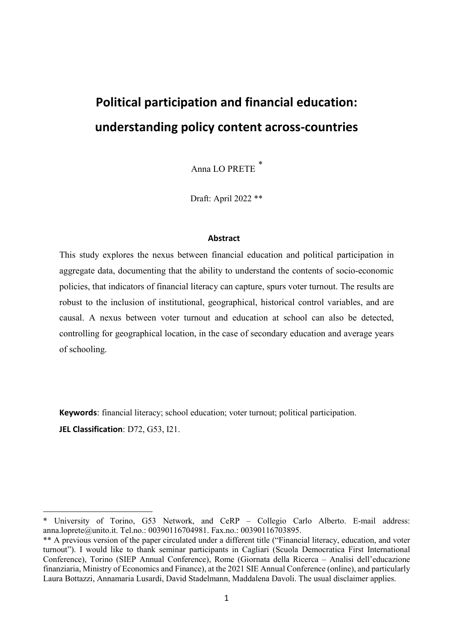# **Political participation and financial education: understanding policy content across-countries**

Anna LO PRETE *\**

Draft: April 2022 \*\*

#### **Abstract**

This study explores the nexus between financial education and political participation in aggregate data, documenting that the ability to understand the contents of socio-economic policies, that indicators of financial literacy can capture, spurs voter turnout. The results are robust to the inclusion of institutional, geographical, historical control variables, and are causal. A nexus between voter turnout and education at school can also be detected, controlling for geographical location, in the case of secondary education and average years of schooling.

**Keywords**: financial literacy; school education; voter turnout; political participation. **JEL Classification**: D72, G53, I21.

 $\overline{a}$ 

<sup>\*</sup> University of Torino, G53 Network, and CeRP – Collegio Carlo Alberto. E-mail address: anna.loprete@unito.it. Tel.no.: 00390116704981. Fax.no.: 00390116703895.

<sup>\*\*</sup> A previous version of the paper circulated under a different title ("Financial literacy, education, and voter turnout"). I would like to thank seminar participants in Cagliari (Scuola Democratica First International Conference), Torino (SIEP Annual Conference), Rome (Giornata della Ricerca – Analisi dell'educazione finanziaria, Ministry of Economics and Finance), at the 2021 SIE Annual Conference (online), and particularly Laura Bottazzi, Annamaria Lusardi, David Stadelmann, Maddalena Davoli. The usual disclaimer applies.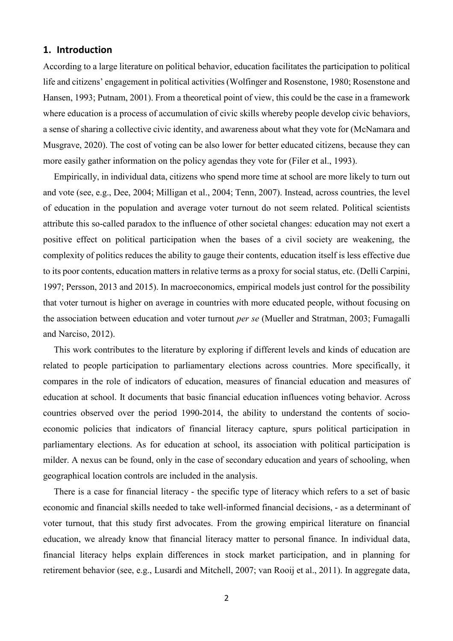# **1. Introduction**

According to a large literature on political behavior, education facilitates the participation to political life and citizens' engagement in political activities (Wolfinger and Rosenstone, 1980; Rosenstone and Hansen, 1993; Putnam, 2001). From a theoretical point of view, this could be the case in a framework where education is a process of accumulation of civic skills whereby people develop civic behaviors, a sense of sharing a collective civic identity, and awareness about what they vote for (McNamara and Musgrave, 2020). The cost of voting can be also lower for better educated citizens, because they can more easily gather information on the policy agendas they vote for (Filer et al., 1993).

Empirically, in individual data, citizens who spend more time at school are more likely to turn out and vote (see, e.g., Dee, 2004; Milligan et al., 2004; Tenn, 2007). Instead, across countries, the level of education in the population and average voter turnout do not seem related. Political scientists attribute this so-called paradox to the influence of other societal changes: education may not exert a positive effect on political participation when the bases of a civil society are weakening, the complexity of politics reduces the ability to gauge their contents, education itself is less effective due to its poor contents, education matters in relative terms as a proxy for social status, etc. (Delli Carpini, 1997; Persson, 2013 and 2015). In macroeconomics, empirical models just control for the possibility that voter turnout is higher on average in countries with more educated people, without focusing on the association between education and voter turnout *per se* (Mueller and Stratman, 2003; Fumagalli and Narciso, 2012).

This work contributes to the literature by exploring if different levels and kinds of education are related to people participation to parliamentary elections across countries. More specifically, it compares in the role of indicators of education, measures of financial education and measures of education at school. It documents that basic financial education influences voting behavior. Across countries observed over the period 1990-2014, the ability to understand the contents of socioeconomic policies that indicators of financial literacy capture, spurs political participation in parliamentary elections. As for education at school, its association with political participation is milder. A nexus can be found, only in the case of secondary education and years of schooling, when geographical location controls are included in the analysis.

There is a case for financial literacy - the specific type of literacy which refers to a set of basic economic and financial skills needed to take well-informed financial decisions, - as a determinant of voter turnout, that this study first advocates. From the growing empirical literature on financial education, we already know that financial literacy matter to personal finance. In individual data, financial literacy helps explain differences in stock market participation, and in planning for retirement behavior (see, e.g., Lusardi and Mitchell, 2007; van Rooij et al., 2011). In aggregate data,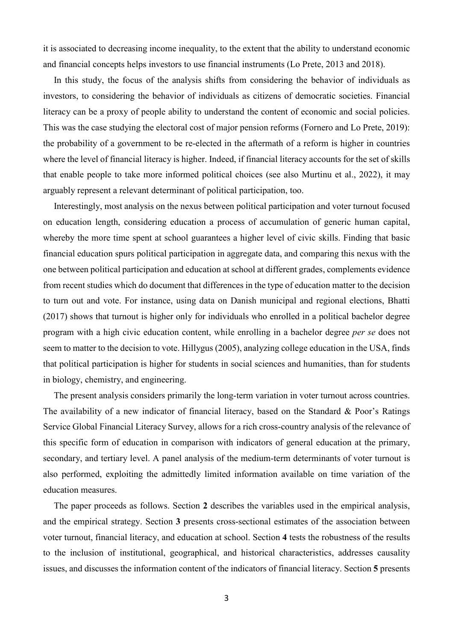it is associated to decreasing income inequality, to the extent that the ability to understand economic and financial concepts helps investors to use financial instruments (Lo Prete, 2013 and 2018).

In this study, the focus of the analysis shifts from considering the behavior of individuals as investors, to considering the behavior of individuals as citizens of democratic societies. Financial literacy can be a proxy of people ability to understand the content of economic and social policies. This was the case studying the electoral cost of major pension reforms (Fornero and Lo Prete, 2019): the probability of a government to be re-elected in the aftermath of a reform is higher in countries where the level of financial literacy is higher. Indeed, if financial literacy accounts for the set of skills that enable people to take more informed political choices (see also Murtinu et al., 2022), it may arguably represent a relevant determinant of political participation, too.

Interestingly, most analysis on the nexus between political participation and voter turnout focused on education length, considering education a process of accumulation of generic human capital, whereby the more time spent at school guarantees a higher level of civic skills. Finding that basic financial education spurs political participation in aggregate data, and comparing this nexus with the one between political participation and education at school at different grades, complements evidence from recent studies which do document that differences in the type of education matter to the decision to turn out and vote. For instance, using data on Danish municipal and regional elections, Bhatti (2017) shows that turnout is higher only for individuals who enrolled in a political bachelor degree program with a high civic education content, while enrolling in a bachelor degree *per se* does not seem to matter to the decision to vote. Hillygus (2005), analyzing college education in the USA, finds that political participation is higher for students in social sciences and humanities, than for students in biology, chemistry, and engineering.

The present analysis considers primarily the long-term variation in voter turnout across countries. The availability of a new indicator of financial literacy, based on the Standard & Poor's Ratings Service Global Financial Literacy Survey, allows for a rich cross-country analysis of the relevance of this specific form of education in comparison with indicators of general education at the primary, secondary, and tertiary level. A panel analysis of the medium-term determinants of voter turnout is also performed, exploiting the admittedly limited information available on time variation of the education measures.

The paper proceeds as follows. Section **2** describes the variables used in the empirical analysis, and the empirical strategy. Section **3** presents cross-sectional estimates of the association between voter turnout, financial literacy, and education at school. Section **4** tests the robustness of the results to the inclusion of institutional, geographical, and historical characteristics, addresses causality issues, and discusses the information content of the indicators of financial literacy. Section **5** presents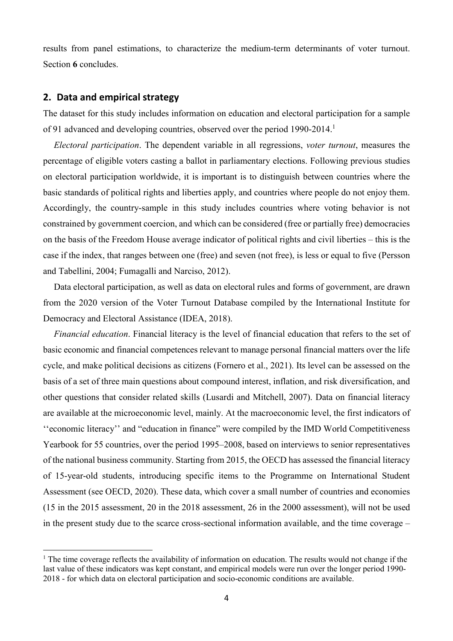results from panel estimations, to characterize the medium-term determinants of voter turnout. Section **6** concludes.

# **2. Data and empirical strategy**

 $\overline{a}$ 

The dataset for this study includes information on education and electoral participation for a sample of 91 advanced and developing countries, observed over the period 1990-2014.<sup>1</sup>

*Electoral participation*. The dependent variable in all regressions, *voter turnout*, measures the percentage of eligible voters casting a ballot in parliamentary elections. Following previous studies on electoral participation worldwide, it is important is to distinguish between countries where the basic standards of political rights and liberties apply, and countries where people do not enjoy them. Accordingly, the country-sample in this study includes countries where voting behavior is not constrained by government coercion, and which can be considered (free or partially free) democracies on the basis of the Freedom House average indicator of political rights and civil liberties – this is the case if the index, that ranges between one (free) and seven (not free), is less or equal to five (Persson and Tabellini, 2004; Fumagalli and Narciso, 2012).

Data electoral participation, as well as data on electoral rules and forms of government, are drawn from the 2020 version of the Voter Turnout Database compiled by the International Institute for Democracy and Electoral Assistance (IDEA, 2018).

*Financial education*. Financial literacy is the level of financial education that refers to the set of basic economic and financial competences relevant to manage personal financial matters over the life cycle, and make political decisions as citizens (Fornero et al., 2021). Its level can be assessed on the basis of a set of three main questions about compound interest, inflation, and risk diversification, and other questions that consider related skills (Lusardi and Mitchell, 2007). Data on financial literacy are available at the microeconomic level, mainly. At the macroeconomic level, the first indicators of ''economic literacy'' and "education in finance" were compiled by the IMD World Competitiveness Yearbook for 55 countries, over the period 1995–2008, based on interviews to senior representatives of the national business community. Starting from 2015, the OECD has assessed the financial literacy of 15-year-old students, introducing specific items to the Programme on International Student Assessment (see OECD, 2020). These data, which cover a small number of countries and economies (15 in the 2015 assessment, 20 in the 2018 assessment, 26 in the 2000 assessment), will not be used in the present study due to the scarce cross-sectional information available, and the time coverage –

<sup>&</sup>lt;sup>1</sup> The time coverage reflects the availability of information on education. The results would not change if the last value of these indicators was kept constant, and empirical models were run over the longer period 1990- 2018 - for which data on electoral participation and socio-economic conditions are available.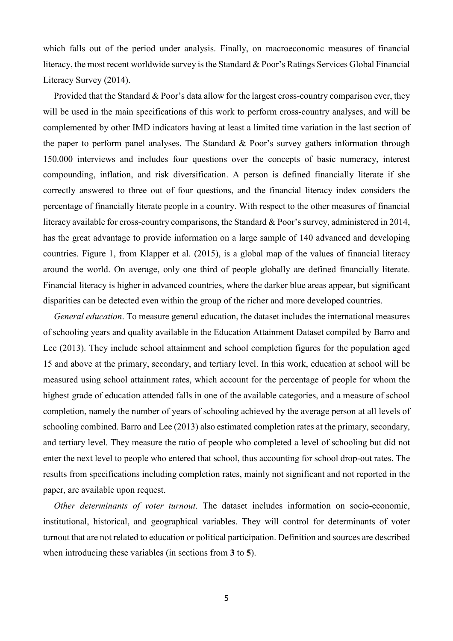which falls out of the period under analysis. Finally, on macroeconomic measures of financial literacy, the most recent worldwide survey is the Standard & Poor's Ratings Services Global Financial Literacy Survey (2014).

Provided that the Standard & Poor's data allow for the largest cross-country comparison ever, they will be used in the main specifications of this work to perform cross-country analyses, and will be complemented by other IMD indicators having at least a limited time variation in the last section of the paper to perform panel analyses. The Standard & Poor's survey gathers information through 150.000 interviews and includes four questions over the concepts of basic numeracy, interest compounding, inflation, and risk diversification. A person is defined financially literate if she correctly answered to three out of four questions, and the financial literacy index considers the percentage of financially literate people in a country. With respect to the other measures of financial literacy available for cross-country comparisons, the Standard & Poor's survey, administered in 2014, has the great advantage to provide information on a large sample of 140 advanced and developing countries. Figure 1, from Klapper et al. (2015), is a global map of the values of financial literacy around the world. On average, only one third of people globally are defined financially literate. Financial literacy is higher in advanced countries, where the darker blue areas appear, but significant disparities can be detected even within the group of the richer and more developed countries.

*General education*. To measure general education, the dataset includes the international measures of schooling years and quality available in the Education Attainment Dataset compiled by Barro and Lee (2013). They include school attainment and school completion figures for the population aged 15 and above at the primary, secondary, and tertiary level. In this work, education at school will be measured using school attainment rates, which account for the percentage of people for whom the highest grade of education attended falls in one of the available categories, and a measure of school completion, namely the number of years of schooling achieved by the average person at all levels of schooling combined. Barro and Lee (2013) also estimated completion rates at the primary, secondary, and tertiary level. They measure the ratio of people who completed a level of schooling but did not enter the next level to people who entered that school, thus accounting for school drop-out rates. The results from specifications including completion rates, mainly not significant and not reported in the paper, are available upon request.

*Other determinants of voter turnout*. The dataset includes information on socio-economic, institutional, historical, and geographical variables. They will control for determinants of voter turnout that are not related to education or political participation. Definition and sources are described when introducing these variables (in sections from **3** to **5**).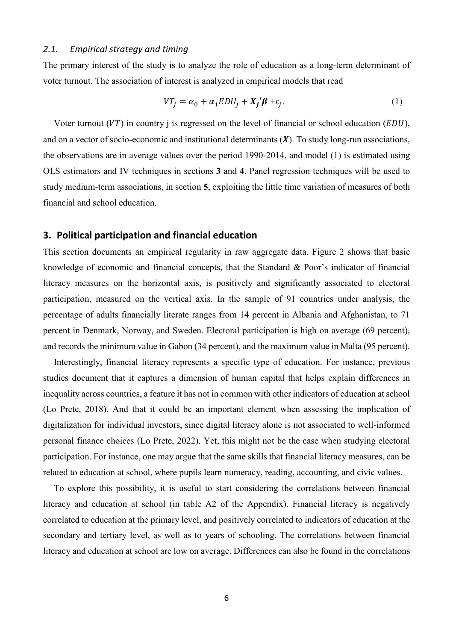#### *2.1. Empirical strategy and timing*

The primary interest of the study is to analyze the role of education as a long-term determinant of voter turnout. The association of interest is analyzed in empirical models that read

$$
VT_j = \alpha_0 + \alpha_1 EDU_j + X_j' \beta + \varepsilon_j. \tag{1}
$$

Voter turnout (VT) in country j is regressed on the level of financial or school education ( $EDU$ ), and on a vector of socio-economic and institutional determinants  $(X)$ . To study long-run associations, the observations are in average values over the period 1990-2014, and model (1) is estimated using OLS estimators and IV techniques in sections **3** and **4**. Panel regression techniques will be used to study medium-term associations, in section **5**, exploiting the little time variation of measures of both financial and school education.

#### **3. Political participation and financial education**

This section documents an empirical regularity in raw aggregate data. Figure 2 shows that basic knowledge of economic and financial concepts, that the Standard & Poor's indicator of financial literacy measures on the horizontal axis, is positively and significantly associated to electoral participation, measured on the vertical axis. In the sample of 91 countries under analysis, the percentage of adults financially literate ranges from 14 percent in Albania and Afghanistan, to 71 percent in Denmark, Norway, and Sweden. Electoral participation is high on average (69 percent), and records the minimum value in Gabon (34 percent), and the maximum value in Malta (95 percent).

Interestingly, financial literacy represents a specific type of education. For instance, previous studies document that it captures a dimension of human capital that helps explain differences in inequality across countries, a feature it has not in common with other indicators of education at school (Lo Prete, 2018). And that it could be an important element when assessing the implication of digitalization for individual investors, since digital literacy alone is not associated to well-informed personal finance choices (Lo Prete, 2022). Yet, this might not be the case when studying electoral participation. For instance, one may argue that the same skills that financial literacy measures, can be related to education at school, where pupils learn numeracy, reading, accounting, and civic values.

To explore this possibility, it is useful to start considering the correlations between financial literacy and education at school (in table A2 of the Appendix). Financial literacy is negatively correlated to education at the primary level, and positively correlated to indicators of education at the secondary and tertiary level, as well as to years of schooling. The correlations between financial literacy and education at school are low on average. Differences can also be found in the correlations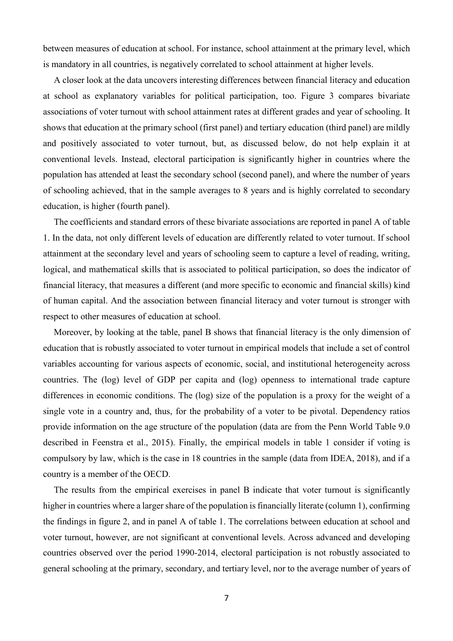between measures of education at school. For instance, school attainment at the primary level, which is mandatory in all countries, is negatively correlated to school attainment at higher levels.

A closer look at the data uncovers interesting differences between financial literacy and education at school as explanatory variables for political participation, too. Figure 3 compares bivariate associations of voter turnout with school attainment rates at different grades and year of schooling. It shows that education at the primary school (first panel) and tertiary education (third panel) are mildly and positively associated to voter turnout, but, as discussed below, do not help explain it at conventional levels. Instead, electoral participation is significantly higher in countries where the population has attended at least the secondary school (second panel), and where the number of years of schooling achieved, that in the sample averages to 8 years and is highly correlated to secondary education, is higher (fourth panel).

The coefficients and standard errors of these bivariate associations are reported in panel A of table 1. In the data, not only different levels of education are differently related to voter turnout. If school attainment at the secondary level and years of schooling seem to capture a level of reading, writing, logical, and mathematical skills that is associated to political participation, so does the indicator of financial literacy, that measures a different (and more specific to economic and financial skills) kind of human capital. And the association between financial literacy and voter turnout is stronger with respect to other measures of education at school.

Moreover, by looking at the table, panel B shows that financial literacy is the only dimension of education that is robustly associated to voter turnout in empirical models that include a set of control variables accounting for various aspects of economic, social, and institutional heterogeneity across countries. The (log) level of GDP per capita and (log) openness to international trade capture differences in economic conditions. The (log) size of the population is a proxy for the weight of a single vote in a country and, thus, for the probability of a voter to be pivotal. Dependency ratios provide information on the age structure of the population (data are from the Penn World Table 9.0 described in Feenstra et al., 2015). Finally, the empirical models in table 1 consider if voting is compulsory by law, which is the case in 18 countries in the sample (data from IDEA, 2018), and if a country is a member of the OECD.

The results from the empirical exercises in panel B indicate that voter turnout is significantly higher in countries where a larger share of the population is financially literate (column 1), confirming the findings in figure 2, and in panel A of table 1. The correlations between education at school and voter turnout, however, are not significant at conventional levels. Across advanced and developing countries observed over the period 1990-2014, electoral participation is not robustly associated to general schooling at the primary, secondary, and tertiary level, nor to the average number of years of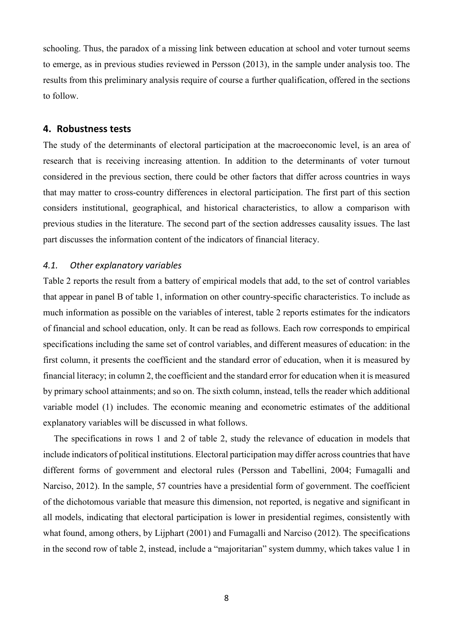schooling. Thus, the paradox of a missing link between education at school and voter turnout seems to emerge, as in previous studies reviewed in Persson (2013), in the sample under analysis too. The results from this preliminary analysis require of course a further qualification, offered in the sections to follow.

# **4. Robustness tests**

The study of the determinants of electoral participation at the macroeconomic level, is an area of research that is receiving increasing attention. In addition to the determinants of voter turnout considered in the previous section, there could be other factors that differ across countries in ways that may matter to cross-country differences in electoral participation. The first part of this section considers institutional, geographical, and historical characteristics, to allow a comparison with previous studies in the literature. The second part of the section addresses causality issues. The last part discusses the information content of the indicators of financial literacy.

# *4.1. Other explanatory variables*

Table 2 reports the result from a battery of empirical models that add, to the set of control variables that appear in panel B of table 1, information on other country-specific characteristics. To include as much information as possible on the variables of interest, table 2 reports estimates for the indicators of financial and school education, only. It can be read as follows. Each row corresponds to empirical specifications including the same set of control variables, and different measures of education: in the first column, it presents the coefficient and the standard error of education, when it is measured by financial literacy; in column 2, the coefficient and the standard error for education when it is measured by primary school attainments; and so on. The sixth column, instead, tells the reader which additional variable model (1) includes. The economic meaning and econometric estimates of the additional explanatory variables will be discussed in what follows.

The specifications in rows 1 and 2 of table 2, study the relevance of education in models that include indicators of political institutions. Electoral participation may differ across countries that have different forms of government and electoral rules (Persson and Tabellini, 2004; Fumagalli and Narciso, 2012). In the sample, 57 countries have a presidential form of government. The coefficient of the dichotomous variable that measure this dimension, not reported, is negative and significant in all models, indicating that electoral participation is lower in presidential regimes, consistently with what found, among others, by Lijphart (2001) and Fumagalli and Narciso (2012). The specifications in the second row of table 2, instead, include a "majoritarian" system dummy, which takes value 1 in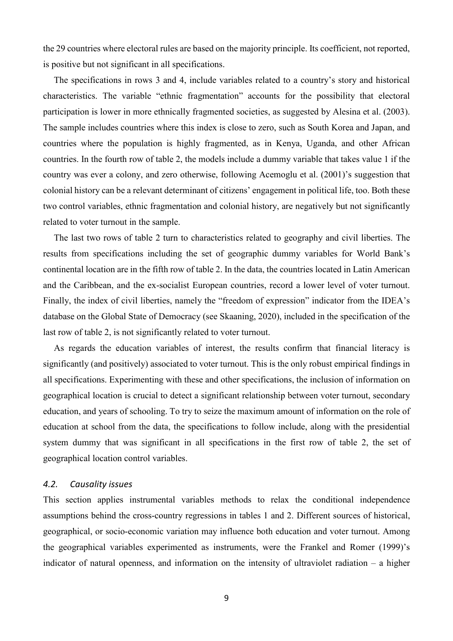the 29 countries where electoral rules are based on the majority principle. Its coefficient, not reported, is positive but not significant in all specifications.

The specifications in rows 3 and 4, include variables related to a country's story and historical characteristics. The variable "ethnic fragmentation" accounts for the possibility that electoral participation is lower in more ethnically fragmented societies, as suggested by Alesina et al. (2003). The sample includes countries where this index is close to zero, such as South Korea and Japan, and countries where the population is highly fragmented, as in Kenya, Uganda, and other African countries. In the fourth row of table 2, the models include a dummy variable that takes value 1 if the country was ever a colony, and zero otherwise, following Acemoglu et al. (2001)'s suggestion that colonial history can be a relevant determinant of citizens' engagement in political life, too. Both these two control variables, ethnic fragmentation and colonial history, are negatively but not significantly related to voter turnout in the sample.

The last two rows of table 2 turn to characteristics related to geography and civil liberties. The results from specifications including the set of geographic dummy variables for World Bank's continental location are in the fifth row of table 2. In the data, the countries located in Latin American and the Caribbean, and the ex-socialist European countries, record a lower level of voter turnout. Finally, the index of civil liberties, namely the "freedom of expression" indicator from the IDEA's database on the Global State of Democracy (see Skaaning, 2020), included in the specification of the last row of table 2, is not significantly related to voter turnout.

As regards the education variables of interest, the results confirm that financial literacy is significantly (and positively) associated to voter turnout. This is the only robust empirical findings in all specifications. Experimenting with these and other specifications, the inclusion of information on geographical location is crucial to detect a significant relationship between voter turnout, secondary education, and years of schooling. To try to seize the maximum amount of information on the role of education at school from the data, the specifications to follow include, along with the presidential system dummy that was significant in all specifications in the first row of table 2, the set of geographical location control variables.

#### *4.2. Causality issues*

This section applies instrumental variables methods to relax the conditional independence assumptions behind the cross-country regressions in tables 1 and 2. Different sources of historical, geographical, or socio-economic variation may influence both education and voter turnout. Among the geographical variables experimented as instruments, were the Frankel and Romer (1999)'s indicator of natural openness, and information on the intensity of ultraviolet radiation – a higher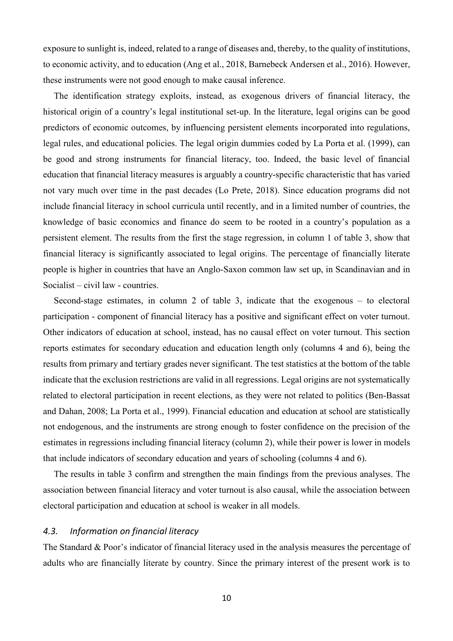exposure to sunlight is, indeed, related to a range of diseases and, thereby, to the quality of institutions, to economic activity, and to education (Ang et al., 2018, Barnebeck Andersen et al., 2016). However, these instruments were not good enough to make causal inference.

The identification strategy exploits, instead, as exogenous drivers of financial literacy, the historical origin of a country's legal institutional set-up. In the literature, legal origins can be good predictors of economic outcomes, by influencing persistent elements incorporated into regulations, legal rules, and educational policies. The legal origin dummies coded by La Porta et al. (1999), can be good and strong instruments for financial literacy, too. Indeed, the basic level of financial education that financial literacy measures is arguably a country-specific characteristic that has varied not vary much over time in the past decades (Lo Prete, 2018). Since education programs did not include financial literacy in school curricula until recently, and in a limited number of countries, the knowledge of basic economics and finance do seem to be rooted in a country's population as a persistent element. The results from the first the stage regression, in column 1 of table 3, show that financial literacy is significantly associated to legal origins. The percentage of financially literate people is higher in countries that have an Anglo-Saxon common law set up, in Scandinavian and in Socialist – civil law - countries.

Second-stage estimates, in column 2 of table 3, indicate that the exogenous – to electoral participation - component of financial literacy has a positive and significant effect on voter turnout. Other indicators of education at school, instead, has no causal effect on voter turnout. This section reports estimates for secondary education and education length only (columns 4 and 6), being the results from primary and tertiary grades never significant. The test statistics at the bottom of the table indicate that the exclusion restrictions are valid in all regressions. Legal origins are not systematically related to electoral participation in recent elections, as they were not related to politics (Ben-Bassat and Dahan, 2008; La Porta et al., 1999). Financial education and education at school are statistically not endogenous, and the instruments are strong enough to foster confidence on the precision of the estimates in regressions including financial literacy (column 2), while their power is lower in models that include indicators of secondary education and years of schooling (columns 4 and 6).

The results in table 3 confirm and strengthen the main findings from the previous analyses. The association between financial literacy and voter turnout is also causal, while the association between electoral participation and education at school is weaker in all models.

#### *4.3. Information on financial literacy*

The Standard & Poor's indicator of financial literacy used in the analysis measures the percentage of adults who are financially literate by country. Since the primary interest of the present work is to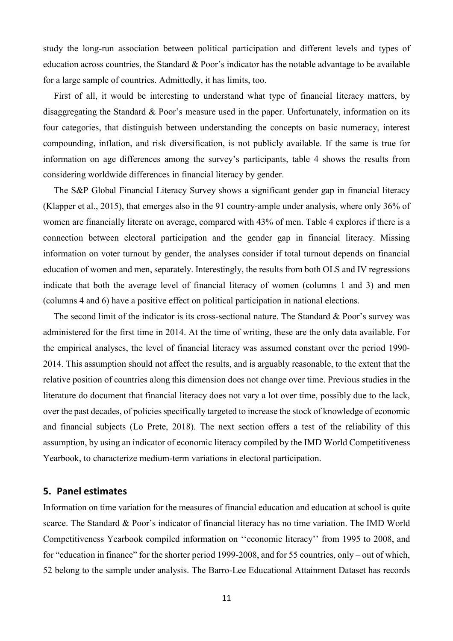study the long-run association between political participation and different levels and types of education across countries, the Standard & Poor's indicator has the notable advantage to be available for a large sample of countries. Admittedly, it has limits, too.

First of all, it would be interesting to understand what type of financial literacy matters, by disaggregating the Standard & Poor's measure used in the paper. Unfortunately, information on its four categories, that distinguish between understanding the concepts on basic numeracy, interest compounding, inflation, and risk diversification, is not publicly available. If the same is true for information on age differences among the survey's participants, table 4 shows the results from considering worldwide differences in financial literacy by gender.

The S&P Global Financial Literacy Survey shows a significant gender gap in financial literacy (Klapper et al., 2015), that emerges also in the 91 country-ample under analysis, where only 36% of women are financially literate on average, compared with 43% of men. Table 4 explores if there is a connection between electoral participation and the gender gap in financial literacy. Missing information on voter turnout by gender, the analyses consider if total turnout depends on financial education of women and men, separately. Interestingly, the results from both OLS and IV regressions indicate that both the average level of financial literacy of women (columns 1 and 3) and men (columns 4 and 6) have a positive effect on political participation in national elections.

The second limit of the indicator is its cross-sectional nature. The Standard & Poor's survey was administered for the first time in 2014. At the time of writing, these are the only data available. For the empirical analyses, the level of financial literacy was assumed constant over the period 1990- 2014. This assumption should not affect the results, and is arguably reasonable, to the extent that the relative position of countries along this dimension does not change over time. Previous studies in the literature do document that financial literacy does not vary a lot over time, possibly due to the lack, over the past decades, of policies specifically targeted to increase the stock of knowledge of economic and financial subjects (Lo Prete, 2018). The next section offers a test of the reliability of this assumption, by using an indicator of economic literacy compiled by the IMD World Competitiveness Yearbook, to characterize medium-term variations in electoral participation.

# **5. Panel estimates**

Information on time variation for the measures of financial education and education at school is quite scarce. The Standard & Poor's indicator of financial literacy has no time variation. The IMD World Competitiveness Yearbook compiled information on ''economic literacy'' from 1995 to 2008, and for "education in finance" for the shorter period 1999-2008, and for 55 countries, only – out of which, 52 belong to the sample under analysis. The Barro-Lee Educational Attainment Dataset has records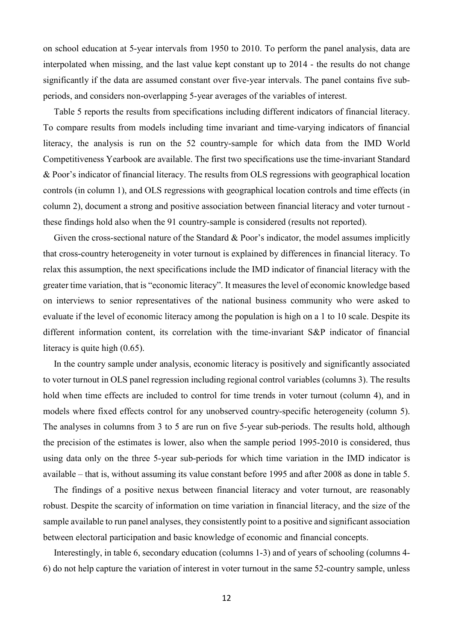on school education at 5-year intervals from 1950 to 2010. To perform the panel analysis, data are interpolated when missing, and the last value kept constant up to 2014 - the results do not change significantly if the data are assumed constant over five-year intervals. The panel contains five subperiods, and considers non-overlapping 5-year averages of the variables of interest.

Table 5 reports the results from specifications including different indicators of financial literacy. To compare results from models including time invariant and time-varying indicators of financial literacy, the analysis is run on the 52 country-sample for which data from the IMD World Competitiveness Yearbook are available. The first two specifications use the time-invariant Standard & Poor's indicator of financial literacy. The results from OLS regressions with geographical location controls (in column 1), and OLS regressions with geographical location controls and time effects (in column 2), document a strong and positive association between financial literacy and voter turnout these findings hold also when the 91 country-sample is considered (results not reported).

Given the cross-sectional nature of the Standard & Poor's indicator, the model assumes implicitly that cross-country heterogeneity in voter turnout is explained by differences in financial literacy. To relax this assumption, the next specifications include the IMD indicator of financial literacy with the greater time variation, that is "economic literacy". It measures the level of economic knowledge based on interviews to senior representatives of the national business community who were asked to evaluate if the level of economic literacy among the population is high on a 1 to 10 scale. Despite its different information content, its correlation with the time-invariant S&P indicator of financial literacy is quite high (0.65).

In the country sample under analysis, economic literacy is positively and significantly associated to voter turnout in OLS panel regression including regional control variables (columns 3). The results hold when time effects are included to control for time trends in voter turnout (column 4), and in models where fixed effects control for any unobserved country-specific heterogeneity (column 5). The analyses in columns from 3 to 5 are run on five 5-year sub-periods. The results hold, although the precision of the estimates is lower, also when the sample period 1995-2010 is considered, thus using data only on the three 5-year sub-periods for which time variation in the IMD indicator is available – that is, without assuming its value constant before 1995 and after 2008 as done in table 5.

The findings of a positive nexus between financial literacy and voter turnout, are reasonably robust. Despite the scarcity of information on time variation in financial literacy, and the size of the sample available to run panel analyses, they consistently point to a positive and significant association between electoral participation and basic knowledge of economic and financial concepts.

Interestingly, in table 6, secondary education (columns 1-3) and of years of schooling (columns 4- 6) do not help capture the variation of interest in voter turnout in the same 52-country sample, unless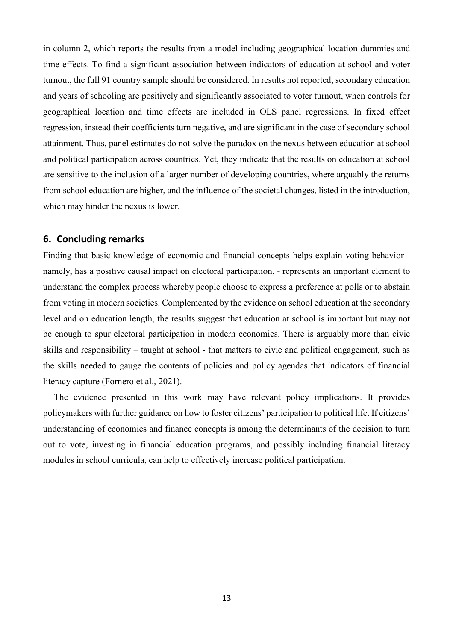in column 2, which reports the results from a model including geographical location dummies and time effects. To find a significant association between indicators of education at school and voter turnout, the full 91 country sample should be considered. In results not reported, secondary education and years of schooling are positively and significantly associated to voter turnout, when controls for geographical location and time effects are included in OLS panel regressions. In fixed effect regression, instead their coefficients turn negative, and are significant in the case of secondary school attainment. Thus, panel estimates do not solve the paradox on the nexus between education at school and political participation across countries. Yet, they indicate that the results on education at school are sensitive to the inclusion of a larger number of developing countries, where arguably the returns from school education are higher, and the influence of the societal changes, listed in the introduction, which may hinder the nexus is lower.

# **6. Concluding remarks**

Finding that basic knowledge of economic and financial concepts helps explain voting behavior namely, has a positive causal impact on electoral participation, - represents an important element to understand the complex process whereby people choose to express a preference at polls or to abstain from voting in modern societies. Complemented by the evidence on school education at the secondary level and on education length, the results suggest that education at school is important but may not be enough to spur electoral participation in modern economies. There is arguably more than civic skills and responsibility – taught at school - that matters to civic and political engagement, such as the skills needed to gauge the contents of policies and policy agendas that indicators of financial literacy capture (Fornero et al., 2021).

The evidence presented in this work may have relevant policy implications. It provides policymakers with further guidance on how to foster citizens' participation to political life. If citizens' understanding of economics and finance concepts is among the determinants of the decision to turn out to vote, investing in financial education programs, and possibly including financial literacy modules in school curricula, can help to effectively increase political participation.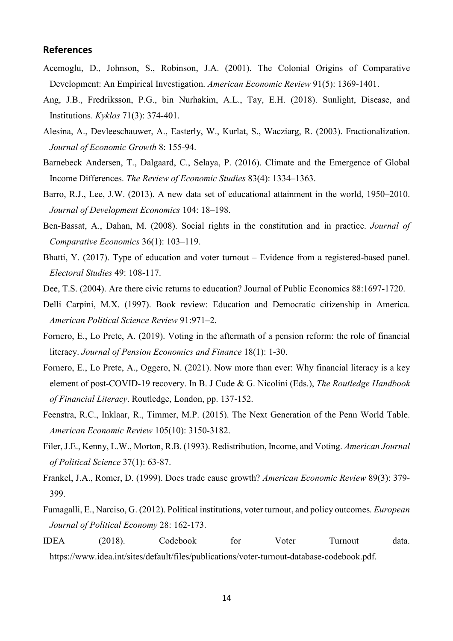# **References**

- Acemoglu, D., Johnson, S., Robinson, J.A. (2001). The Colonial Origins of Comparative Development: An Empirical Investigation. *American Economic Review* 91(5): 1369-1401.
- Ang, J.B., Fredriksson, P.G., bin Nurhakim, A.L., Tay, E.H. (2018). Sunlight, Disease, and Institutions. *Kyklos* 71(3): 374-401.
- Alesina, A., Devleeschauwer, A., Easterly, W., Kurlat, S., Wacziarg, R. (2003). Fractionalization. *Journal of Economic Growth* 8: 155-94.
- Barnebeck Andersen, T., Dalgaard, C., Selaya, P. (2016). Climate and the Emergence of Global Income Differences. *The Review of Economic Studies* 83(4): 1334–1363.
- Barro, R.J., Lee, J.W. (2013). A new data set of educational attainment in the world, 1950–2010. *Journal of Development Economics* 104: 18–198.
- Ben-Bassat, A., Dahan, M. (2008). Social rights in the constitution and in practice. *Journal of Comparative Economics* 36(1): 103–119.
- Bhatti, Y. (2017). Type of education and voter turnout Evidence from a registered-based panel. *Electoral Studies* 49: 108-117.
- Dee, T.S. (2004). Are there civic returns to education? Journal of Public Economics 88:1697-1720.
- Delli Carpini, M.X. (1997). Book review: Education and Democratic citizenship in America. *American Political Science Review* 91:971–2.
- Fornero, E., Lo Prete, A. (2019). Voting in the aftermath of a pension reform: the role of financial literacy. *Journal of Pension Economics and Finance* 18(1): 1-30.
- Fornero, E., Lo Prete, A., Oggero, N. (2021). Now more than ever: Why financial literacy is a key element of post-COVID-19 recovery. In B. J Cude & G. Nicolini (Eds.), *The Routledge Handbook of Financial Literacy*. Routledge, London, pp. 137-152.
- Feenstra, R.C., Inklaar, R., Timmer, M.P. (2015). The Next Generation of the Penn World Table. *American Economic Review* 105(10): 3150-3182.
- Filer, J.E., Kenny, L.W., Morton, R.B. (1993). Redistribution, Income, and Voting. *American Journal of Political Science* 37(1): 63-87.
- Frankel, J.A., Romer, D. (1999). Does trade cause growth? *American Economic Review* 89(3): 379- 399.
- Fumagalli, E., Narciso, G. (2012). Political institutions, voter turnout, and policy outcomes*. European Journal of Political Economy* 28: 162-173.
- IDEA (2018). Codebook for Voter Turnout data. https://www.idea.int/sites/default/files/publications/voter-turnout-database-codebook.pdf.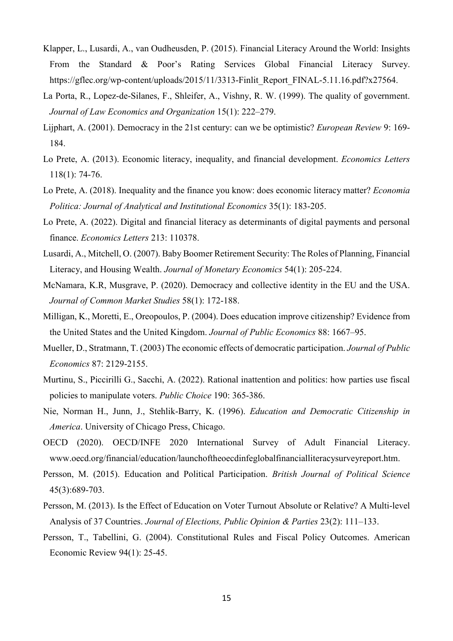- Klapper, L., Lusardi, A., van Oudheusden, P. (2015). Financial Literacy Around the World: Insights From the Standard & Poor's Rating Services Global Financial Literacy Survey. https://gflec.org/wp-content/uploads/2015/11/3313-Finlit\_Report\_FINAL-5.11.16.pdf?x27564.
- La Porta, R., Lopez-de-Silanes, F., Shleifer, A., Vishny, R. W. (1999). The quality of government. *Journal of Law Economics and Organization* 15(1): 222–279.
- Lijphart, A. (2001). Democracy in the 21st century: can we be optimistic? *European Review* 9: 169- 184.
- Lo Prete, A. (2013). Economic literacy, inequality, and financial development. *Economics Letters* 118(1): 74-76.
- Lo Prete, A. (2018). Inequality and the finance you know: does economic literacy matter? *Economia Politica: Journal of Analytical and Institutional Economics* 35(1): 183-205.
- Lo Prete, A. (2022). Digital and financial literacy as determinants of digital payments and personal finance. *Economics Letters* 213: 110378.
- Lusardi, A., Mitchell, O. (2007). Baby Boomer Retirement Security: The Roles of Planning, Financial Literacy, and Housing Wealth. *Journal of Monetary Economics* 54(1): 205-224.
- McNamara, K.R, Musgrave, P. (2020). Democracy and collective identity in the EU and the USA. *Journal of Common Market Studies* 58(1): 172-188.
- Milligan, K., Moretti, E., Oreopoulos, P. (2004). Does education improve citizenship? Evidence from the United States and the United Kingdom. *Journal of Public Economics* 88: 1667–95.
- Mueller, D., Stratmann, T. (2003) The economic effects of democratic participation. *Journal of Public Economics* 87: 2129-2155.
- Murtinu, S., Piccirilli G., Sacchi, A. (2022). Rational inattention and politics: how parties use fiscal policies to manipulate voters. *Public Choice* 190: 365-386.
- Nie, Norman H., Junn, J., Stehlik-Barry, K. (1996). *Education and Democratic Citizenship in America*. University of Chicago Press, Chicago.
- OECD (2020). OECD/INFE 2020 International Survey of Adult Financial Literacy. www.oecd.org/financial/education/launchoftheoecdinfeglobalfinancialliteracysurveyreport.htm.
- Persson, M. (2015). Education and Political Participation. *British Journal of Political Science* 45(3):689-703.
- Persson, M. (2013). Is the Effect of Education on Voter Turnout Absolute or Relative? A Multi-level Analysis of 37 Countries. *Journal of Elections, Public Opinion & Parties* 23(2): 111–133.
- Persson, T., Tabellini, G. (2004). Constitutional Rules and Fiscal Policy Outcomes. American Economic Review 94(1): 25-45.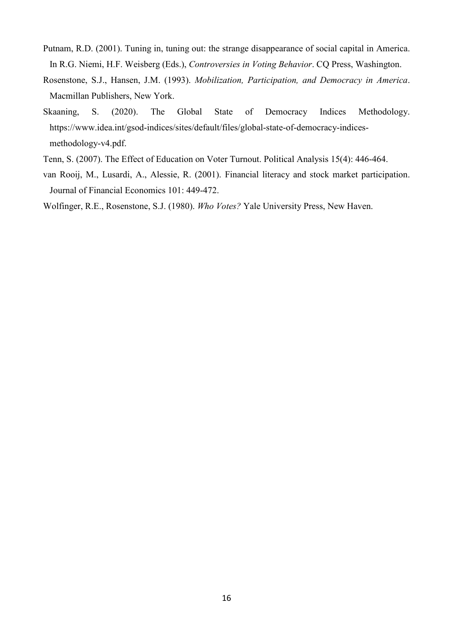- Putnam, R.D. (2001). Tuning in, tuning out: the strange disappearance of social capital in America. In R.G. Niemi, H.F. Weisberg (Eds.), *Controversies in Voting Behavior*. CQ Press, Washington.
- Rosenstone, S.J., Hansen, J.M. (1993). *Mobilization, Participation, and Democracy in America*. Macmillan Publishers, New York.
- Skaaning, S. (2020). The Global State of Democracy Indices Methodology. https://www.idea.int/gsod-indices/sites/default/files/global-state-of-democracy-indicesmethodology-v4.pdf.
- Tenn, S. (2007). The Effect of Education on Voter Turnout. Political Analysis 15(4): 446-464.
- van Rooij, M., Lusardi, A., Alessie, R. (2001). Financial literacy and stock market participation. Journal of Financial Economics 101: 449-472.
- Wolfinger, R.E., Rosenstone, S.J. (1980). *Who Votes?* Yale University Press, New Haven.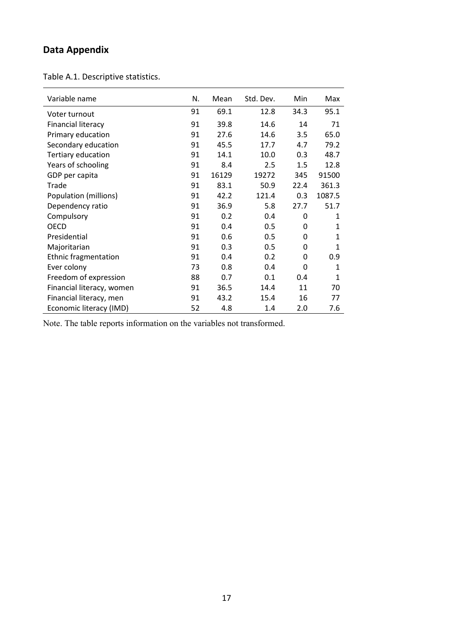# **Data Appendix**

Table A.1. Descriptive statistics.

| Variable name               | N. | Mean  | Std. Dev. | Min  | Max          |
|-----------------------------|----|-------|-----------|------|--------------|
| Voter turnout               | 91 | 69.1  | 12.8      | 34.3 | 95.1         |
| <b>Financial literacy</b>   | 91 | 39.8  | 14.6      | 14   | 71           |
| Primary education           | 91 | 27.6  | 14.6      | 3.5  | 65.0         |
| Secondary education         | 91 | 45.5  | 17.7      | 4.7  | 79.2         |
| Tertiary education          | 91 | 14.1  | 10.0      | 0.3  | 48.7         |
| Years of schooling          | 91 | 8.4   | 2.5       | 1.5  | 12.8         |
| GDP per capita              | 91 | 16129 | 19272     | 345  | 91500        |
| Trade                       | 91 | 83.1  | 50.9      | 22.4 | 361.3        |
| Population (millions)       | 91 | 42.2  | 121.4     | 0.3  | 1087.5       |
| Dependency ratio            | 91 | 36.9  | 5.8       | 27.7 | 51.7         |
| Compulsory                  | 91 | 0.2   | 0.4       | 0    | 1            |
| <b>OECD</b>                 | 91 | 0.4   | 0.5       | 0    | 1            |
| Presidential                | 91 | 0.6   | 0.5       | 0    | 1            |
| Majoritarian                | 91 | 0.3   | 0.5       | 0    | $\mathbf{1}$ |
| <b>Ethnic fragmentation</b> | 91 | 0.4   | 0.2       | 0    | 0.9          |
| Ever colony                 | 73 | 0.8   | 0.4       | 0    | 1            |
| Freedom of expression       | 88 | 0.7   | 0.1       | 0.4  | $\mathbf{1}$ |
| Financial literacy, women   | 91 | 36.5  | 14.4      | 11   | 70           |
| Financial literacy, men     | 91 | 43.2  | 15.4      | 16   | 77           |
| Economic literacy (IMD)     | 52 | 4.8   | 1.4       | 2.0  | 7.6          |

Note. The table reports information on the variables not transformed.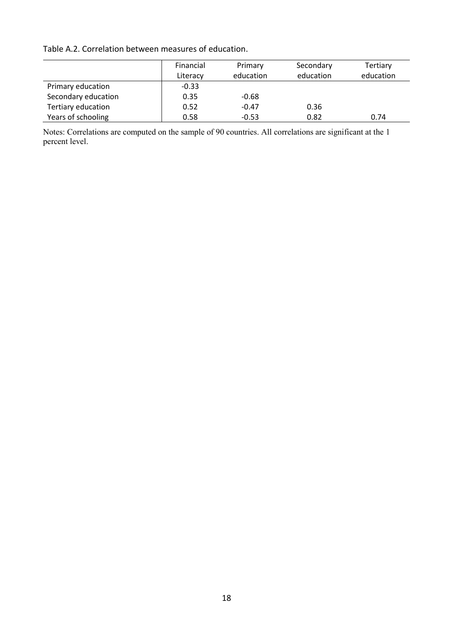Table A.2. Correlation between measures of education.

|                     | Financial | Primary   | Secondary | Tertiary  |
|---------------------|-----------|-----------|-----------|-----------|
|                     | Literacy  | education | education | education |
| Primary education   | $-0.33$   |           |           |           |
| Secondary education | 0.35      | $-0.68$   |           |           |
| Tertiary education  | 0.52      | $-0.47$   | 0.36      |           |
| Years of schooling  | 0.58      | $-0.53$   | 0.82      | 0.74      |

Notes: Correlations are computed on the sample of 90 countries. All correlations are significant at the 1 percent level.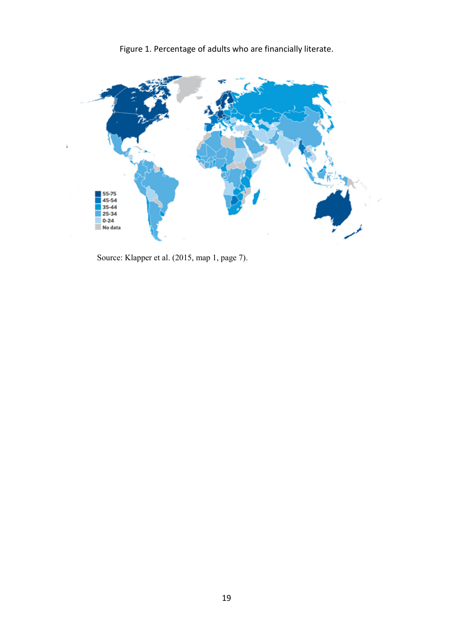Figure 1. Percentage of adults who are financially literate.



Source: Klapper et al. (2015, map 1, page 7).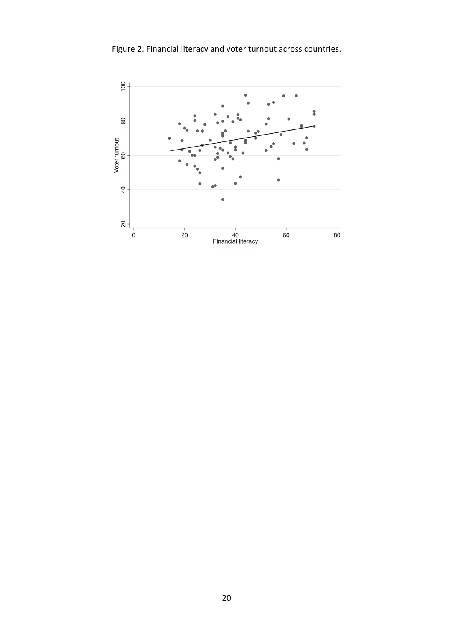Figure 2. Financial literacy and voter turnout across countries.

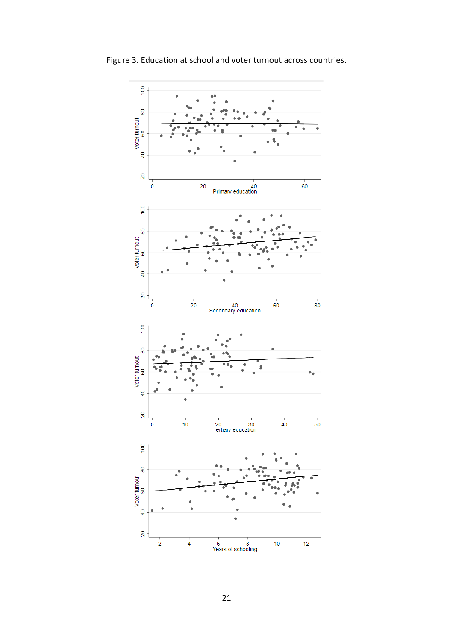

Figure 3. Education at school and voter turnout across countries.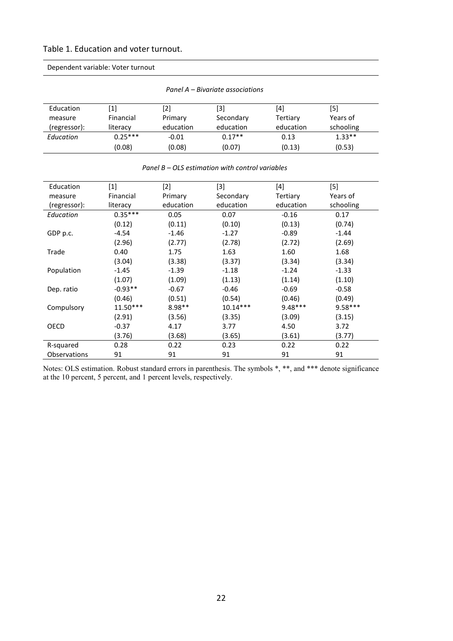#### Table 1. Education and voter turnout.

Dependent variable: Voter turnout

| Panel A – Bivariate associations |                              |           |           |           |           |  |  |
|----------------------------------|------------------------------|-----------|-----------|-----------|-----------|--|--|
| Education                        | $\left\lceil 1 \right\rceil$ | [2]       | [3]       | [4]       | [5]       |  |  |
| measure                          | Financial                    | Primary   | Secondary | Tertiary  | Years of  |  |  |
| (regressor):                     | literacy                     | education | education | education | schooling |  |  |
| Education                        | $0.25***$                    | $-0.01$   | $0.17**$  | 0.13      | $1.33**$  |  |  |
|                                  | (0.08)                       | (0.08)    | (0.07)    | (0.13)    | (0.53)    |  |  |

#### *Panel B – OLS estimation with control variables*

| Education           | $[1] % \includegraphics[width=0.9\columnwidth]{figures/fig_10.pdf} \caption{The figure shows the number of times on the right, and the number of times on the right, respectively. The left and right is the number of times on the right, respectively.} \label{fig:fig:time}$ | $[2]$     | $[3]$      | [4]       | $[5]$     |
|---------------------|---------------------------------------------------------------------------------------------------------------------------------------------------------------------------------------------------------------------------------------------------------------------------------|-----------|------------|-----------|-----------|
| measure             | Financial                                                                                                                                                                                                                                                                       | Primary   | Secondary  | Tertiary  | Years of  |
| (regressor):        | literacy                                                                                                                                                                                                                                                                        | education | education  | education | schooling |
| Education           | $0.35***$                                                                                                                                                                                                                                                                       | 0.05      | 0.07       | $-0.16$   | 0.17      |
|                     | (0.12)                                                                                                                                                                                                                                                                          | (0.11)    | (0.10)     | (0.13)    | (0.74)    |
| GDP p.c.            | $-4.54$                                                                                                                                                                                                                                                                         | $-1.46$   | $-1.27$    | $-0.89$   | $-1.44$   |
|                     | (2.96)                                                                                                                                                                                                                                                                          | (2.77)    | (2.78)     | (2.72)    | (2.69)    |
| Trade               | 0.40                                                                                                                                                                                                                                                                            | 1.75      | 1.63       | 1.60      | 1.68      |
|                     | (3.04)                                                                                                                                                                                                                                                                          | (3.38)    | (3.37)     | (3.34)    | (3.34)    |
| Population          | $-1.45$                                                                                                                                                                                                                                                                         | $-1.39$   | $-1.18$    | $-1.24$   | $-1.33$   |
|                     | (1.07)                                                                                                                                                                                                                                                                          | (1.09)    | (1.13)     | (1.14)    | (1.10)    |
| Dep. ratio          | $-0.93**$                                                                                                                                                                                                                                                                       | $-0.67$   | $-0.46$    | $-0.69$   | $-0.58$   |
|                     | (0.46)                                                                                                                                                                                                                                                                          | (0.51)    | (0.54)     | (0.46)    | (0.49)    |
| Compulsory          | $11.50***$                                                                                                                                                                                                                                                                      | $8.98**$  | $10.14***$ | $9.48***$ | $9.58***$ |
|                     | (2.91)                                                                                                                                                                                                                                                                          | (3.56)    | (3.35)     | (3.09)    | (3.15)    |
| <b>OECD</b>         | $-0.37$                                                                                                                                                                                                                                                                         | 4.17      | 3.77       | 4.50      | 3.72      |
|                     | (3.76)                                                                                                                                                                                                                                                                          | (3.68)    | (3.65)     | (3.61)    | (3.77)    |
| R-squared           | 0.28                                                                                                                                                                                                                                                                            | 0.22      | 0.23       | 0.22      | 0.22      |
| <b>Observations</b> | 91                                                                                                                                                                                                                                                                              | 91        | 91         | 91        | 91        |

Notes: OLS estimation. Robust standard errors in parenthesis. The symbols \*, \*\*, and \*\*\* denote significance at the 10 percent, 5 percent, and 1 percent levels, respectively.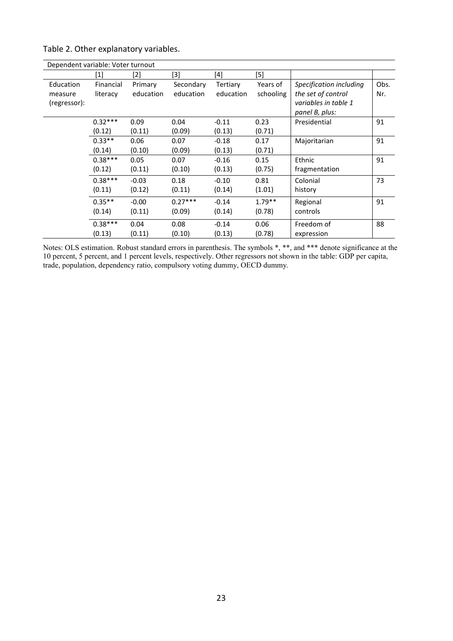|  |  |  | Table 2. Other explanatory variables. |
|--|--|--|---------------------------------------|
|--|--|--|---------------------------------------|

|              | Dependent variable: Voter turnout |           |           |           |           |                         |      |  |  |
|--------------|-----------------------------------|-----------|-----------|-----------|-----------|-------------------------|------|--|--|
|              | [1]                               | [2]       | [3]       | $[4]$     | $[5]$     |                         |      |  |  |
| Education    | Financial                         | Primary   | Secondary | Tertiary  | Years of  | Specification including | Obs. |  |  |
| measure      | literacy                          | education | education | education | schooling | the set of control      | Nr.  |  |  |
| (regressor): |                                   |           |           |           |           | variables in table 1    |      |  |  |
|              |                                   |           |           |           |           | panel B, plus:          |      |  |  |
|              | $0.32***$                         | 0.09      | 0.04      | $-0.11$   | 0.23      | Presidential            | 91   |  |  |
|              | (0.12)                            | (0.11)    | (0.09)    | (0.13)    | (0.71)    |                         |      |  |  |
|              | $0.33**$                          | 0.06      | 0.07      | $-0.18$   | 0.17      | Majoritarian            | 91   |  |  |
|              | (0.14)                            | (0.10)    | (0.09)    | (0.13)    | (0.71)    |                         |      |  |  |
|              | $0.38***$                         | 0.05      | 0.07      | $-0.16$   | 0.15      | Ethnic                  | 91   |  |  |
|              | (0.12)                            | (0.11)    | (0.10)    | (0.13)    | (0.75)    | fragmentation           |      |  |  |
|              | $0.38***$                         | $-0.03$   | 0.18      | $-0.10$   | 0.81      | Colonial                | 73   |  |  |
|              | (0.11)                            | (0.12)    | (0.11)    | (0.14)    | (1.01)    | history                 |      |  |  |
|              | $0.35**$                          | $-0.00$   | $0.27***$ | $-0.14$   | $1.79**$  | Regional                | 91   |  |  |
|              | (0.14)                            | (0.11)    | (0.09)    | (0.14)    | (0.78)    | controls                |      |  |  |
|              | $0.38***$                         | 0.04      | 0.08      | $-0.14$   | 0.06      | Freedom of              | 88   |  |  |
|              | (0.13)                            | (0.11)    | (0.10)    | (0.13)    | (0.78)    | expression              |      |  |  |

Notes: OLS estimation. Robust standard errors in parenthesis. The symbols \*, \*\*, and \*\*\* denote significance at the 10 percent, 5 percent, and 1 percent levels, respectively. Other regressors not shown in the table: GDP per capita, trade, population, dependency ratio, compulsory voting dummy, OECD dummy.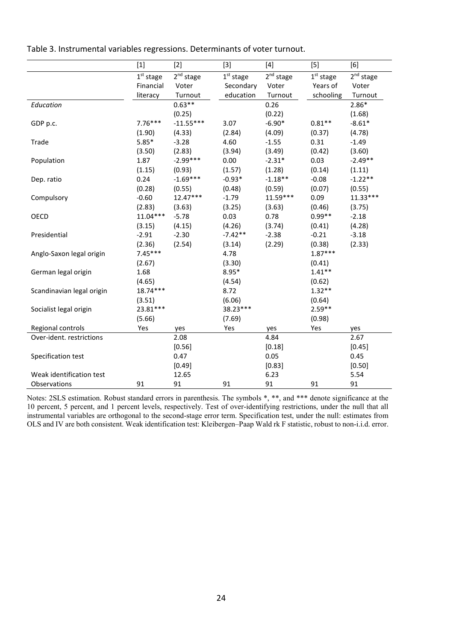|                           | $[1]$                 | $[2]$                 | $[3]$                 | $[4]$                 | $[5]$                 | [6]                   |
|---------------------------|-----------------------|-----------------------|-----------------------|-----------------------|-----------------------|-----------------------|
|                           | 1 <sup>st</sup> stage | 2 <sup>nd</sup> stage | 1 <sup>st</sup> stage | 2 <sup>nd</sup> stage | 1 <sup>st</sup> stage | 2 <sup>nd</sup> stage |
|                           | Financial             | Voter                 | Secondary             | Voter                 | Years of              | Voter                 |
|                           | literacy              | Turnout               | education             | Turnout               | schooling             | Turnout               |
| Education                 |                       | $0.63**$              |                       | 0.26                  |                       | $2.86*$               |
|                           |                       | (0.25)                |                       | (0.22)                |                       | (1.68)                |
| GDP p.c.                  | $7.76***$             | $-11.55***$           | 3.07                  | $-6.90*$              | $0.81**$              | $-8.61*$              |
|                           | (1.90)                | (4.33)                | (2.84)                | (4.09)                | (0.37)                | (4.78)                |
| Trade                     | $5.85*$               | $-3.28$               | 4.60                  | $-1.55$               | 0.31                  | $-1.49$               |
|                           | (3.50)                | (2.83)                | (3.94)                | (3.49)                | (0.42)                | (3.60)                |
| Population                | 1.87                  | $-2.99***$            | 0.00                  | $-2.31*$              | 0.03                  | $-2.49**$             |
|                           | (1.15)                | (0.93)                | (1.57)                | (1.28)                | (0.14)                | (1.11)                |
| Dep. ratio                | 0.24                  | $-1.69***$            | $-0.93*$              | $-1.18**$             | $-0.08$               | $-1.22**$             |
|                           | (0.28)                | (0.55)                | (0.48)                | (0.59)                | (0.07)                | (0.55)                |
| Compulsory                | $-0.60$               | $12.47***$            | $-1.79$               | $11.59***$            | 0.09                  | $11.33***$            |
|                           | (2.83)                | (3.63)                | (3.25)                | (3.63)                | (0.46)                | (3.75)                |
| OECD                      | $11.04***$            | $-5.78$               | 0.03                  | 0.78                  | $0.99**$              | $-2.18$               |
|                           | (3.15)                | (4.15)                | (4.26)                | (3.74)                | (0.41)                | (4.28)                |
| Presidential              | $-2.91$               | $-2.30$               | $-7.42**$             | $-2.38$               | $-0.21$               | $-3.18$               |
|                           | (2.36)                | (2.54)                | (3.14)                | (2.29)                | (0.38)                | (2.33)                |
| Anglo-Saxon legal origin  | $7.45***$             |                       | 4.78                  |                       | $1.87***$             |                       |
|                           | (2.67)                |                       | (3.30)                |                       | (0.41)                |                       |
| German legal origin       | 1.68                  |                       | $8.95*$               |                       | $1.41**$              |                       |
|                           | (4.65)                |                       | (4.54)                |                       | (0.62)                |                       |
| Scandinavian legal origin | 18.74***              |                       | 8.72                  |                       | $1.32**$              |                       |
|                           | (3.51)                |                       | (6.06)                |                       | (0.64)                |                       |
| Socialist legal origin    | 23.81***              |                       | 38.23***              |                       | $2.59**$              |                       |
|                           | (5.66)                |                       | (7.69)                |                       | (0.98)                |                       |
| Regional controls         | Yes                   | yes                   | Yes                   | yes                   | Yes                   | yes                   |
| Over-ident. restrictions  |                       | 2.08                  |                       | 4.84                  |                       | 2.67                  |
|                           |                       | [0.56]                |                       | [0.18]                |                       | [0.45]                |
| Specification test        |                       | 0.47                  |                       | 0.05                  |                       | 0.45                  |
|                           |                       | [0.49]                |                       | [0.83]                |                       | [0.50]                |
| Weak identification test  |                       | 12.65                 |                       | 6.23                  |                       | 5.54                  |
| Observations              | 91                    | 91                    | 91                    | 91                    | 91                    | 91                    |

Table 3. Instrumental variables regressions. Determinants of voter turnout.

Notes: 2SLS estimation. Robust standard errors in parenthesis. The symbols \*, \*\*, and \*\*\* denote significance at the 10 percent, 5 percent, and 1 percent levels, respectively. Test of over-identifying restrictions, under the null that all instrumental variables are orthogonal to the second-stage error term. Specification test, under the null: estimates from OLS and IV are both consistent. Weak identification test: Kleibergen–Paap Wald rk F statistic, robust to non-i.i.d. error.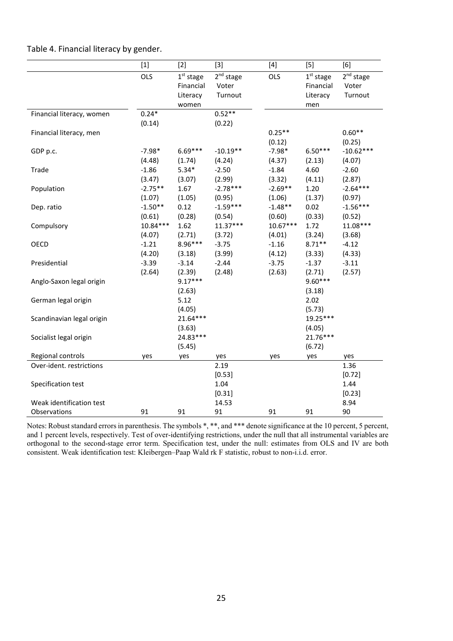|                                          | $[1]$                | $[2]$                                                   | $[3]$                                     | $[4]$                | $[5]$                                              | [6]                                       |
|------------------------------------------|----------------------|---------------------------------------------------------|-------------------------------------------|----------------------|----------------------------------------------------|-------------------------------------------|
|                                          | OLS                  | 1 <sup>st</sup> stage<br>Financial<br>Literacy<br>women | 2 <sup>nd</sup> stage<br>Voter<br>Turnout | OLS                  | $1^{\rm st}$ stage<br>Financial<br>Literacy<br>men | 2 <sup>nd</sup> stage<br>Voter<br>Turnout |
| Financial literacy, women                | $0.24*$<br>(0.14)    |                                                         | $0.52**$<br>(0.22)                        |                      |                                                    |                                           |
| Financial literacy, men                  |                      |                                                         |                                           | $0.25**$<br>(0.12)   |                                                    | $0.60**$<br>(0.25)                        |
| GDP p.c.                                 | $-7.98*$<br>(4.48)   | 6.69***<br>(1.74)                                       | $-10.19**$<br>(4.24)                      | $-7.98*$<br>(4.37)   | $6.50***$<br>(2.13)                                | $-10.62***$<br>(4.07)                     |
| Trade                                    | $-1.86$<br>(3.47)    | $5.34*$<br>(3.07)                                       | $-2.50$<br>(2.99)                         | $-1.84$<br>(3.32)    | 4.60<br>(4.11)                                     | $-2.60$<br>(2.87)                         |
| Population                               | $-2.75**$<br>(1.07)  | 1.67<br>(1.05)                                          | $-2.78***$<br>(0.95)                      | $-2.69**$<br>(1.06)  | 1.20<br>(1.37)                                     | $-2.64***$<br>(0.97)                      |
| Dep. ratio                               | $-1.50**$<br>(0.61)  | 0.12<br>(0.28)                                          | $-1.59***$<br>(0.54)                      | $-1.48**$<br>(0.60)  | 0.02<br>(0.33)                                     | $-1.56***$<br>(0.52)                      |
| Compulsory                               | $10.84***$<br>(4.07) | 1.62<br>(2.71)                                          | $11.37***$<br>(3.72)                      | $10.67***$<br>(4.01) | 1.72<br>(3.24)                                     | $11.08***$<br>(3.68)                      |
| OECD                                     | $-1.21$<br>(4.20)    | 8.96***<br>(3.18)                                       | $-3.75$<br>(3.99)                         | $-1.16$<br>(4.12)    | $8.71**$<br>(3.33)                                 | $-4.12$<br>(4.33)                         |
| Presidential                             | $-3.39$<br>(2.64)    | $-3.14$<br>(2.39)                                       | $-2.44$<br>(2.48)                         | $-3.75$<br>(2.63)    | $-1.37$<br>(2.71)                                  | $-3.11$<br>(2.57)                         |
| Anglo-Saxon legal origin                 |                      | $9.17***$<br>(2.63)                                     |                                           |                      | 9.60***<br>(3.18)                                  |                                           |
| German legal origin                      |                      | 5.12<br>(4.05)                                          |                                           |                      | 2.02<br>(5.73)                                     |                                           |
| Scandinavian legal origin                |                      | $21.64***$<br>(3.63)                                    |                                           |                      | 19.25***<br>(4.05)                                 |                                           |
| Socialist legal origin                   |                      | 24.83***<br>(5.45)                                      |                                           |                      | 21.76***<br>(6.72)                                 |                                           |
| Regional controls                        | yes                  | yes                                                     | yes                                       | yes                  | yes                                                | yes                                       |
| Over-ident. restrictions                 |                      |                                                         | 2.19                                      |                      |                                                    | 1.36                                      |
| Specification test                       |                      |                                                         | [0.53]<br>1.04<br>[0.31]                  |                      |                                                    | [0.72]<br>1.44<br>[0.23]                  |
| Weak identification test<br>Observations | 91                   | 91                                                      | 14.53<br>91                               | 91                   | 91                                                 | 8.94<br>90                                |

Notes: Robust standard errors in parenthesis. The symbols \*, \*\*, and \*\*\* denote significance at the 10 percent, 5 percent, and 1 percent levels, respectively. Test of over-identifying restrictions, under the null that all instrumental variables are orthogonal to the second-stage error term. Specification test, under the null: estimates from OLS and IV are both consistent. Weak identification test: Kleibergen–Paap Wald rk F statistic, robust to non-i.i.d. error.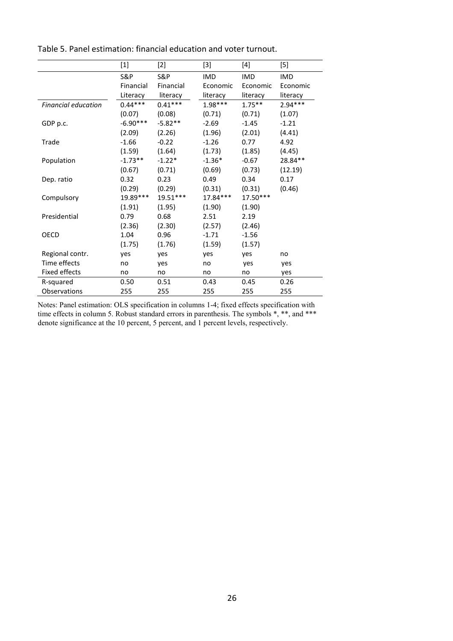|                      | $[1]$          | [2]        | $[3]$      | [4]        | $[5] % \includegraphics[width=0.9\columnwidth]{figures/fig_10.pdf} \caption{Schematic diagram of the top of the top of the top of the right.} \label{fig:fig:time}$ |
|----------------------|----------------|------------|------------|------------|---------------------------------------------------------------------------------------------------------------------------------------------------------------------|
|                      | <b>S&amp;P</b> | S&P        | <b>IMD</b> | <b>IMD</b> | <b>IMD</b>                                                                                                                                                          |
|                      | Financial      | Financial  | Economic   | Economic   | Economic                                                                                                                                                            |
|                      | Literacy       | literacy   | literacy   | literacy   | literacy                                                                                                                                                            |
| Financial education  | $0.44***$      | $0.41***$  | $1.98***$  | $1.75***$  | $2.94***$                                                                                                                                                           |
|                      | (0.07)         | (0.08)     | (0.71)     | (0.71)     | (1.07)                                                                                                                                                              |
| GDP p.c.             | $-6.90***$     | $-5.82**$  | $-2.69$    | $-1.45$    | $-1.21$                                                                                                                                                             |
|                      | (2.09)         | (2.26)     | (1.96)     | (2.01)     | (4.41)                                                                                                                                                              |
| Trade                | $-1.66$        | $-0.22$    | $-1.26$    | 0.77       | 4.92                                                                                                                                                                |
|                      | (1.59)         | (1.64)     | (1.73)     | (1.85)     | (4.45)                                                                                                                                                              |
| Population           | $-1.73**$      | $-1.22*$   | $-1.36*$   | $-0.67$    | 28.84**                                                                                                                                                             |
|                      | (0.67)         | (0.71)     | (0.69)     | (0.73)     | (12.19)                                                                                                                                                             |
| Dep. ratio           | 0.32           | 0.23       | 0.49       | 0.34       | 0.17                                                                                                                                                                |
|                      | (0.29)         | (0.29)     | (0.31)     | (0.31)     | (0.46)                                                                                                                                                              |
| Compulsory           | 19.89***       | $19.51***$ | $17.84***$ | 17.50***   |                                                                                                                                                                     |
|                      | (1.91)         | (1.95)     | (1.90)     | (1.90)     |                                                                                                                                                                     |
| Presidential         | 0.79           | 0.68       | 2.51       | 2.19       |                                                                                                                                                                     |
|                      | (2.36)         | (2.30)     | (2.57)     | (2.46)     |                                                                                                                                                                     |
| OECD                 | 1.04           | 0.96       | $-1.71$    | $-1.56$    |                                                                                                                                                                     |
|                      | (1.75)         | (1.76)     | (1.59)     | (1.57)     |                                                                                                                                                                     |
| Regional contr.      | yes            | yes        | yes        | yes        | no                                                                                                                                                                  |
| Time effects         | no             | yes        | no         | yes        | yes                                                                                                                                                                 |
| <b>Fixed effects</b> | no             | no         | no         | no         | yes                                                                                                                                                                 |
| R-squared            | 0.50           | 0.51       | 0.43       | 0.45       | 0.26                                                                                                                                                                |
| Observations         | 255            | 255        | 255        | 255        | 255                                                                                                                                                                 |

Table 5. Panel estimation: financial education and voter turnout.

Notes: Panel estimation: OLS specification in columns 1-4; fixed effects specification with time effects in column 5. Robust standard errors in parenthesis. The symbols \*, \*\*, and \*\*\* denote significance at the 10 percent, 5 percent, and 1 percent levels, respectively.